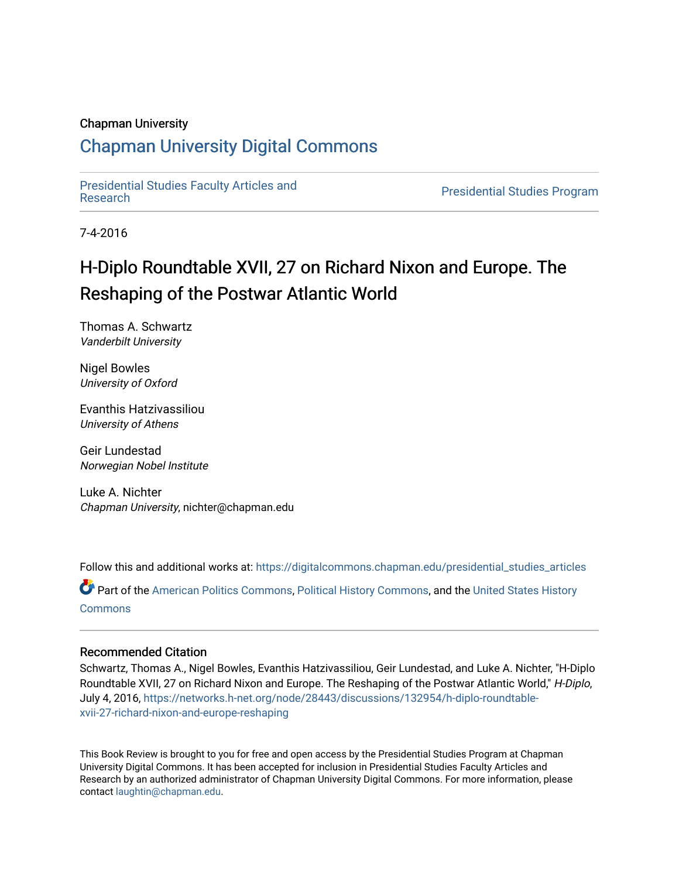#### Chapman University

### [Chapman University Digital Commons](https://digitalcommons.chapman.edu/)

[Presidential Studies Faculty Articles and](https://digitalcommons.chapman.edu/presidential_studies_articles) 

**Presidential Studies Program** 

7-4-2016

# H-Diplo Roundtable XVII, 27 on Richard Nixon and Europe. The Reshaping of the Postwar Atlantic World

Thomas A. Schwartz Vanderbilt University

Nigel Bowles University of Oxford

Evanthis Hatzivassiliou University of Athens

Geir Lundestad Norwegian Nobel Institute

Luke A. Nichter Chapman University, nichter@chapman.edu

Follow this and additional works at: [https://digitalcommons.chapman.edu/presidential\\_studies\\_articles](https://digitalcommons.chapman.edu/presidential_studies_articles?utm_source=digitalcommons.chapman.edu%2Fpresidential_studies_articles%2F16&utm_medium=PDF&utm_campaign=PDFCoverPages) 

Part of the [American Politics Commons,](http://network.bepress.com/hgg/discipline/387?utm_source=digitalcommons.chapman.edu%2Fpresidential_studies_articles%2F16&utm_medium=PDF&utm_campaign=PDFCoverPages) [Political History Commons,](http://network.bepress.com/hgg/discipline/505?utm_source=digitalcommons.chapman.edu%2Fpresidential_studies_articles%2F16&utm_medium=PDF&utm_campaign=PDFCoverPages) and the [United States History](http://network.bepress.com/hgg/discipline/495?utm_source=digitalcommons.chapman.edu%2Fpresidential_studies_articles%2F16&utm_medium=PDF&utm_campaign=PDFCoverPages) **[Commons](http://network.bepress.com/hgg/discipline/495?utm_source=digitalcommons.chapman.edu%2Fpresidential_studies_articles%2F16&utm_medium=PDF&utm_campaign=PDFCoverPages)** 

#### Recommended Citation

Schwartz, Thomas A., Nigel Bowles, Evanthis Hatzivassiliou, Geir Lundestad, and Luke A. Nichter, "H-Diplo Roundtable XVII, 27 on Richard Nixon and Europe. The Reshaping of the Postwar Atlantic World," H-Diplo, July 4, 2016, [https://networks.h-net.org/node/28443/discussions/132954/h-diplo-roundtable](https://networks.h-net.org/node/28443/discussions/132954/h-diplo-roundtable-xvii-27-richard-nixon-and-europe-reshaping)[xvii-27-richard-nixon-and-europe-reshaping](https://networks.h-net.org/node/28443/discussions/132954/h-diplo-roundtable-xvii-27-richard-nixon-and-europe-reshaping) 

This Book Review is brought to you for free and open access by the Presidential Studies Program at Chapman University Digital Commons. It has been accepted for inclusion in Presidential Studies Faculty Articles and Research by an authorized administrator of Chapman University Digital Commons. For more information, please contact [laughtin@chapman.edu](mailto:laughtin@chapman.edu).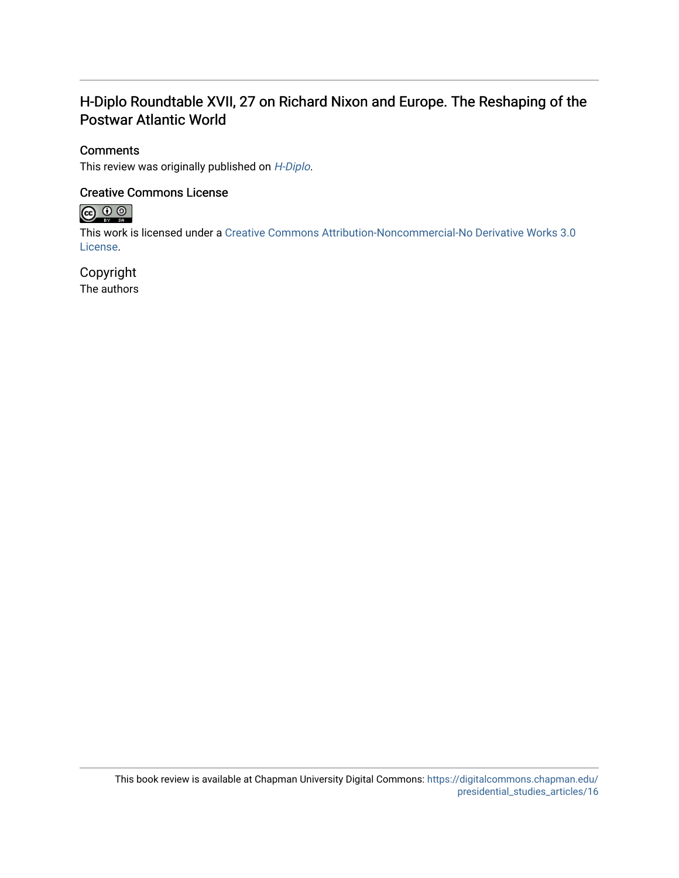### H-Diplo Roundtable XVII, 27 on Richard Nixon and Europe. The Reshaping of the Postwar Atlantic World

#### **Comments**

This review was originally published on [H-Diplo](https://networks.h-net.org/node/28443/discussions/132954/h-diplo-roundtable-xvii-27-richard-nixon-and-europe-reshaping).

#### Creative Commons License



This work is licensed under a [Creative Commons Attribution-Noncommercial-No Derivative Works 3.0](https://creativecommons.org/licenses/by-nc-nd/3.0/) [License](https://creativecommons.org/licenses/by-nc-nd/3.0/).

### Copyright

The authors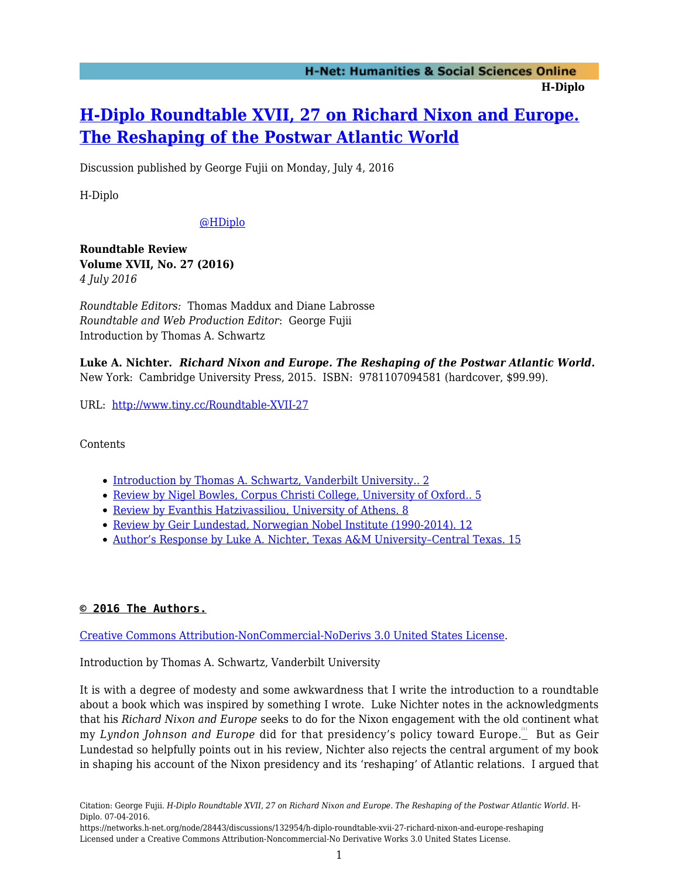## **[H-Diplo Roundtable XVII, 27 on Richard Nixon and Europe.](https://networks.h-net.org/node/28443/discussions/132954/h-diplo-roundtable-xvii-27-richard-nixon-and-europe-reshaping) [The Reshaping of the Postwar Atlantic World](https://networks.h-net.org/node/28443/discussions/132954/h-diplo-roundtable-xvii-27-richard-nixon-and-europe-reshaping)**

Discussion published by George Fujii on Monday, July 4, 2016

H-Diplo

#### [@HDiplo](https://www.twitter.com/HDiplo)

**Roundtable Review Volume XVII, No. 27 (2016)** *4 July 2016*

*Roundtable Editors:* Thomas Maddux and Diane Labrosse *Roundtable and Web Production Editor*: George Fujii Introduction by Thomas A. Schwartz

**Luke A. Nichter.** *Richard Nixon and Europe. The Reshaping of the Postwar Atlantic World.* New York: Cambridge University Press, 2015. ISBN: 9781107094581 (hardcover, \$99.99).

URL: <http://www.tiny.cc/Roundtable-XVII-27>

Contents

- [Introduction by Thomas A. Schwartz, Vanderbilt University.. 2](#page-2-0)
- [Review by Nigel Bowles, Corpus Christi College, University of Oxford.. 5](#page-5-0)
- [Review by Evanthis Hatzivassiliou, University of Athens. 8](#page-7-0)
- [Review by Geir Lundestad, Norwegian Nobel Institute \(1990-2014\). 12](#page-10-0)
- Author's Response by Luke A. Nichter, Texas A&M University-Central Texas. 15

#### **© 2016 The Authors.**

[Creative Commons Attribution-NonCommercial-NoDerivs 3.0 United States License](https://creativecommons.org/licenses/by-nc-nd/3.0/us/).

<span id="page-2-0"></span>Introduction by Thomas A. Schwartz, Vanderbilt University

<span id="page-2-1"></span>It is with a degree of modesty and some awkwardness that I write the introduction to a roundtable about a book which was inspired by something I wrote. Luke Nichter notes in the acknowledgments that his *Richard Nixon and Europe* seeks to do for the Nixon engagement with the old continent what my *Lyndon Johnson and Europe* did for that presidency's policy toward Europe.<u>''</u> But as Geir Lundestad so helpfully points out in his review, Nichter also rejects the central argument of my book in shaping his account of the Nixon presidency and its 'reshaping' of Atlantic relations. I argued that

https://networks.h-net.org/node/28443/discussions/132954/h-diplo-roundtable-xvii-27-richard-nixon-and-europe-reshaping Licensed under a Creative Commons Attribution-Noncommercial-No Derivative Works 3.0 United States License.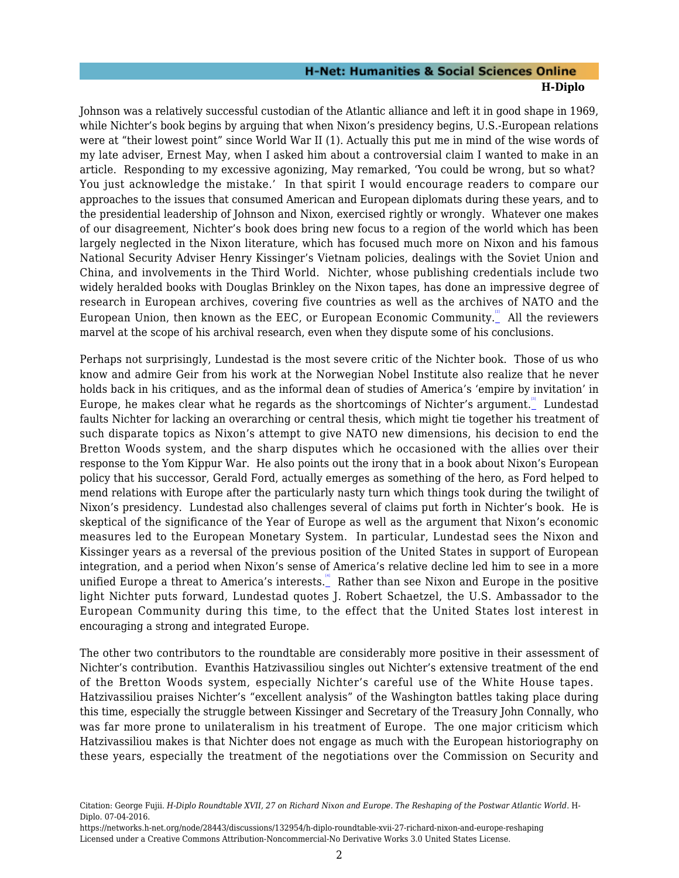Johnson was a relatively successful custodian of the Atlantic alliance and left it in good shape in 1969, while Nichter's book begins by arguing that when Nixon's presidency begins, U.S.-European relations were at "their lowest point" since World War II (1). Actually this put me in mind of the wise words of my late adviser, Ernest May, when I asked him about a controversial claim I wanted to make in an article. Responding to my excessive agonizing, May remarked, 'You could be wrong, but so what? You just acknowledge the mistake.' In that spirit I would encourage readers to compare our approaches to the issues that consumed American and European diplomats during these years, and to the presidential leadership of Johnson and Nixon, exercised rightly or wrongly. Whatever one makes of our disagreement, Nichter's book does bring new focus to a region of the world which has been largely neglected in the Nixon literature, which has focused much more on Nixon and his famous National Security Adviser Henry Kissinger's Vietnam policies, dealings with the Soviet Union and China, and involvements in the Third World. Nichter, whose publishing credentials include two widely heralded books with Douglas Brinkley on the Nixon tapes, has done an impressive degree of research in European archives, covering five countries as well as the archives of NATO and the European Union, then known as the EEC, or European Economic Community. All the reviewers marvel at the scope of his archival research, even when they dispute some of his conclusions.

<span id="page-3-1"></span><span id="page-3-0"></span>Perhaps not surprisingly, Lundestad is the most severe critic of the Nichter book. Those of us who know and admire Geir from his work at the Norwegian Nobel Institute also realize that he never holds back in his critiques, and as the informal dean of studies of America's 'empire by invitation' in Europe, he makes clear what he regards as the shortcomings of Nichter's argument. Lundestad faults Nichter for lacking an overarching or central thesis, which might tie together his treatment of such disparate topics as Nixon's attempt to give NATO new dimensions, his decision to end the Bretton Woods system, and the sharp disputes which he occasioned with the allies over their response to the Yom Kippur War. He also points out the irony that in a book about Nixon's European policy that his successor, Gerald Ford, actually emerges as something of the hero, as Ford helped to mend relations with Europe after the particularly nasty turn which things took during the twilight of Nixon's presidency. Lundestad also challenges several of claims put forth in Nichter's book. He is skeptical of the significance of the Year of Europe as well as the argument that Nixon's economic measures led to the European Monetary System. In particular, Lundestad sees the Nixon and Kissinger years as a reversal of the previous position of the United States in support of European integration, and a period when Nixon's sense of America's relative decline led him to see in a more unified Europe a threat to America's interests. Rather than see Nixon and Europe in the positive light Nichter puts forward, Lundestad quotes J. Robert Schaetzel, the U.S. Ambassador to the European Community during this time, to the effect that the United States lost interest in encouraging a strong and integrated Europe.

<span id="page-3-2"></span>The other two contributors to the roundtable are considerably more positive in their assessment of Nichter's contribution. Evanthis Hatzivassiliou singles out Nichter's extensive treatment of the end of the Bretton Woods system, especially Nichter's careful use of the White House tapes. Hatzivassiliou praises Nichter's "excellent analysis" of the Washington battles taking place during this time, especially the struggle between Kissinger and Secretary of the Treasury John Connally, who was far more prone to unilateralism in his treatment of Europe. The one major criticism which Hatzivassiliou makes is that Nichter does not engage as much with the European historiography on these years, especially the treatment of the negotiations over the Commission on Security and

Citation: George Fujii. *H-Diplo Roundtable XVII, 27 on Richard Nixon and Europe. The Reshaping of the Postwar Atlantic World*. H-Diplo. 07-04-2016.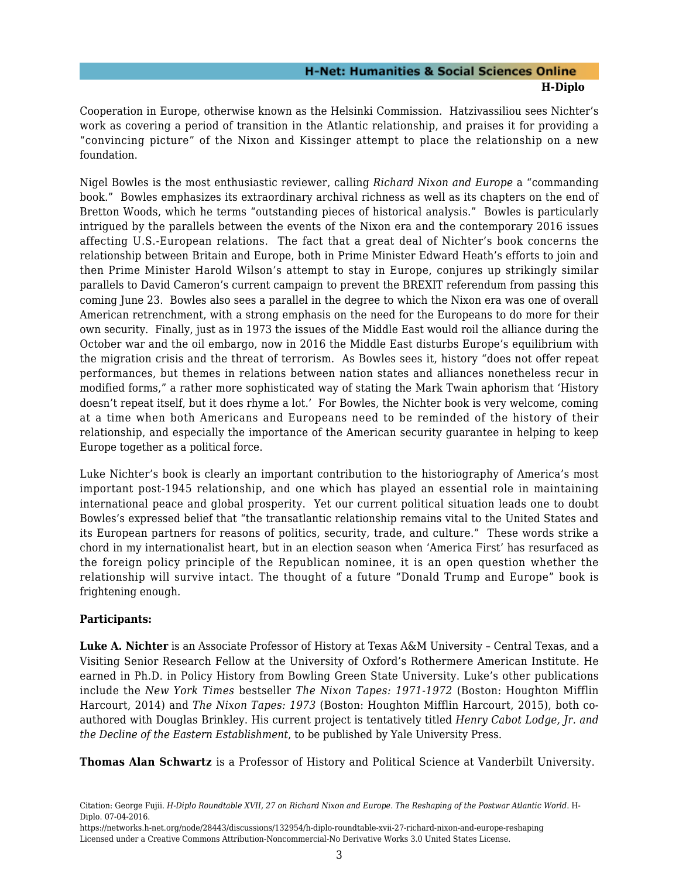Cooperation in Europe, otherwise known as the Helsinki Commission. Hatzivassiliou sees Nichter's work as covering a period of transition in the Atlantic relationship, and praises it for providing a "convincing picture" of the Nixon and Kissinger attempt to place the relationship on a new foundation.

Nigel Bowles is the most enthusiastic reviewer, calling *Richard Nixon and Europe* a "commanding book." Bowles emphasizes its extraordinary archival richness as well as its chapters on the end of Bretton Woods, which he terms "outstanding pieces of historical analysis." Bowles is particularly intrigued by the parallels between the events of the Nixon era and the contemporary 2016 issues affecting U.S.-European relations. The fact that a great deal of Nichter's book concerns the relationship between Britain and Europe, both in Prime Minister Edward Heath's efforts to join and then Prime Minister Harold Wilson's attempt to stay in Europe, conjures up strikingly similar parallels to David Cameron's current campaign to prevent the BREXIT referendum from passing this coming June 23. Bowles also sees a parallel in the degree to which the Nixon era was one of overall American retrenchment, with a strong emphasis on the need for the Europeans to do more for their own security. Finally, just as in 1973 the issues of the Middle East would roil the alliance during the October war and the oil embargo, now in 2016 the Middle East disturbs Europe's equilibrium with the migration crisis and the threat of terrorism. As Bowles sees it, history "does not offer repeat performances, but themes in relations between nation states and alliances nonetheless recur in modified forms," a rather more sophisticated way of stating the Mark Twain aphorism that 'History doesn't repeat itself, but it does rhyme a lot.' For Bowles, the Nichter book is very welcome, coming at a time when both Americans and Europeans need to be reminded of the history of their relationship, and especially the importance of the American security guarantee in helping to keep Europe together as a political force.

Luke Nichter's book is clearly an important contribution to the historiography of America's most important post-1945 relationship, and one which has played an essential role in maintaining international peace and global prosperity. Yet our current political situation leads one to doubt Bowles's expressed belief that "the transatlantic relationship remains vital to the United States and its European partners for reasons of politics, security, trade, and culture." These words strike a chord in my internationalist heart, but in an election season when 'America First' has resurfaced as the foreign policy principle of the Republican nominee, it is an open question whether the relationship will survive intact. The thought of a future "Donald Trump and Europe" book is frightening enough.

#### **Participants:**

**Luke A. Nichter** is an Associate Professor of History at Texas A&M University – Central Texas, and a Visiting Senior Research Fellow at the University of Oxford's Rothermere American Institute. He earned in Ph.D. in Policy History from Bowling Green State University. Luke's other publications include the *New York Times* bestseller *The Nixon Tapes: 1971-1972* (Boston: Houghton Mifflin Harcourt, 2014) and *The Nixon Tapes: 1973* (Boston: Houghton Mifflin Harcourt, 2015), both coauthored with Douglas Brinkley. His current project is tentatively titled *Henry Cabot Lodge, Jr. and the Decline of the Eastern Establishment*, to be published by Yale University Press.

**Thomas Alan Schwartz** is a Professor of History and Political Science at Vanderbilt University.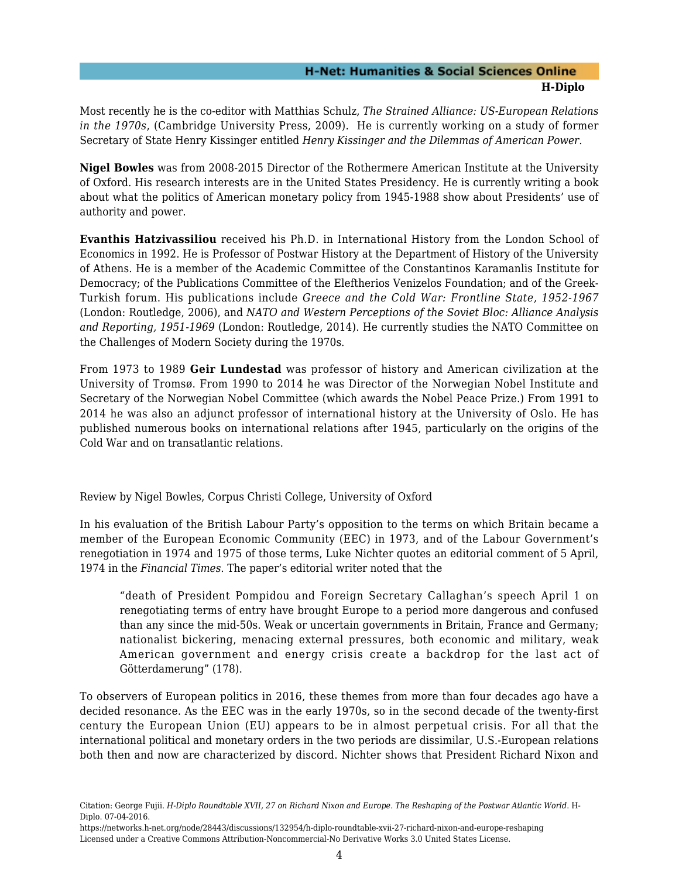Most recently he is the co-editor with Matthias Schulz, *The Strained Alliance: US-European Relations in the 1970s*, (Cambridge University Press, 2009). He is currently working on a study of former Secretary of State Henry Kissinger entitled *Henry Kissinger and the Dilemmas of American Power.*

**Nigel Bowles** was from 2008-2015 Director of the Rothermere American Institute at the University of Oxford. His research interests are in the United States Presidency. He is currently writing a book about what the politics of American monetary policy from 1945-1988 show about Presidents' use of authority and power.

**Evanthis Hatzivassiliou** received his Ph.D. in International History from the London School of Economics in 1992. He is Professor of Postwar History at the Department of History of the University of Athens. He is a member of the Academic Committee of the Constantinos Karamanlis Institute for Democracy; of the Publications Committee of the Eleftherios Venizelos Foundation; and of the Greek-Turkish forum. His publications include *Greece and the Cold War: Frontline State, 1952-1967* (London: Routledge, 2006), and *NATO and Western Perceptions of the Soviet Bloc: Alliance Analysis and Reporting, 1951-1969* (London: Routledge, 2014). He currently studies the NATO Committee on the Challenges of Modern Society during the 1970s.

From 1973 to 1989 **Geir Lundestad** was professor of history and American civilization at the University of Tromsø. From 1990 to 2014 he was Director of the Norwegian Nobel Institute and Secretary of the Norwegian Nobel Committee (which awards the Nobel Peace Prize.) From 1991 to 2014 he was also an adjunct professor of international history at the University of Oslo. He has published numerous books on international relations after 1945, particularly on the origins of the Cold War and on transatlantic relations.

<span id="page-5-0"></span>Review by Nigel Bowles, Corpus Christi College, University of Oxford

In his evaluation of the British Labour Party's opposition to the terms on which Britain became a member of the European Economic Community (EEC) in 1973, and of the Labour Government's renegotiation in 1974 and 1975 of those terms, Luke Nichter quotes an editorial comment of 5 April, 1974 in the *Financial Times*. The paper's editorial writer noted that the

"death of President Pompidou and Foreign Secretary Callaghan's speech April 1 on renegotiating terms of entry have brought Europe to a period more dangerous and confused than any since the mid-50s. Weak or uncertain governments in Britain, France and Germany; nationalist bickering, menacing external pressures, both economic and military, weak American government and energy crisis create a backdrop for the last act of Götterdamerung" (178).

To observers of European politics in 2016, these themes from more than four decades ago have a decided resonance. As the EEC was in the early 1970s, so in the second decade of the twenty-first century the European Union (EU) appears to be in almost perpetual crisis. For all that the international political and monetary orders in the two periods are dissimilar, U.S.-European relations both then and now are characterized by discord. Nichter shows that President Richard Nixon and

Citation: George Fujii. *H-Diplo Roundtable XVII, 27 on Richard Nixon and Europe. The Reshaping of the Postwar Atlantic World*. H-Diplo. 07-04-2016.

https://networks.h-net.org/node/28443/discussions/132954/h-diplo-roundtable-xvii-27-richard-nixon-and-europe-reshaping Licensed under a Creative Commons Attribution-Noncommercial-No Derivative Works 3.0 United States License.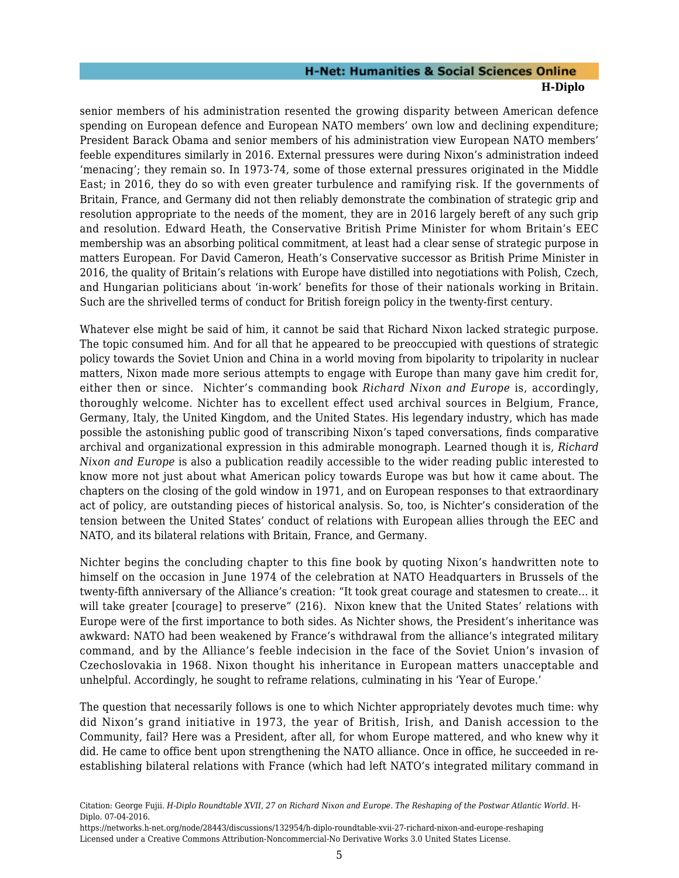senior members of his administration resented the growing disparity between American defence spending on European defence and European NATO members' own low and declining expenditure; President Barack Obama and senior members of his administration view European NATO members' feeble expenditures similarly in 2016. External pressures were during Nixon's administration indeed 'menacing'; they remain so. In 1973-74, some of those external pressures originated in the Middle East; in 2016, they do so with even greater turbulence and ramifying risk. If the governments of Britain, France, and Germany did not then reliably demonstrate the combination of strategic grip and resolution appropriate to the needs of the moment, they are in 2016 largely bereft of any such grip and resolution. Edward Heath, the Conservative British Prime Minister for whom Britain's EEC membership was an absorbing political commitment, at least had a clear sense of strategic purpose in matters European. For David Cameron, Heath's Conservative successor as British Prime Minister in 2016, the quality of Britain's relations with Europe have distilled into negotiations with Polish, Czech, and Hungarian politicians about 'in-work' benefits for those of their nationals working in Britain. Such are the shrivelled terms of conduct for British foreign policy in the twenty-first century.

Whatever else might be said of him, it cannot be said that Richard Nixon lacked strategic purpose. The topic consumed him. And for all that he appeared to be preoccupied with questions of strategic policy towards the Soviet Union and China in a world moving from bipolarity to tripolarity in nuclear matters, Nixon made more serious attempts to engage with Europe than many gave him credit for, either then or since. Nichter's commanding book *Richard Nixon and Europe* is, accordingly, thoroughly welcome. Nichter has to excellent effect used archival sources in Belgium, France, Germany, Italy, the United Kingdom, and the United States. His legendary industry, which has made possible the astonishing public good of transcribing Nixon's taped conversations, finds comparative archival and organizational expression in this admirable monograph. Learned though it is, *Richard Nixon and Europe* is also a publication readily accessible to the wider reading public interested to know more not just about what American policy towards Europe was but how it came about. The chapters on the closing of the gold window in 1971, and on European responses to that extraordinary act of policy, are outstanding pieces of historical analysis. So, too, is Nichter's consideration of the tension between the United States' conduct of relations with European allies through the EEC and NATO, and its bilateral relations with Britain, France, and Germany.

Nichter begins the concluding chapter to this fine book by quoting Nixon's handwritten note to himself on the occasion in June 1974 of the celebration at NATO Headquarters in Brussels of the twenty-fifth anniversary of the Alliance's creation: "It took great courage and statesmen to create… it will take greater [courage] to preserve" (216). Nixon knew that the United States' relations with Europe were of the first importance to both sides. As Nichter shows, the President's inheritance was awkward: NATO had been weakened by France's withdrawal from the alliance's integrated military command, and by the Alliance's feeble indecision in the face of the Soviet Union's invasion of Czechoslovakia in 1968. Nixon thought his inheritance in European matters unacceptable and unhelpful. Accordingly, he sought to reframe relations, culminating in his 'Year of Europe.'

The question that necessarily follows is one to which Nichter appropriately devotes much time: why did Nixon's grand initiative in 1973, the year of British, Irish, and Danish accession to the Community, fail? Here was a President, after all, for whom Europe mattered, and who knew why it did. He came to office bent upon strengthening the NATO alliance. Once in office, he succeeded in reestablishing bilateral relations with France (which had left NATO's integrated military command in

Citation: George Fujii. *H-Diplo Roundtable XVII, 27 on Richard Nixon and Europe. The Reshaping of the Postwar Atlantic World*. H-Diplo. 07-04-2016.

https://networks.h-net.org/node/28443/discussions/132954/h-diplo-roundtable-xvii-27-richard-nixon-and-europe-reshaping Licensed under a Creative Commons Attribution-Noncommercial-No Derivative Works 3.0 United States License.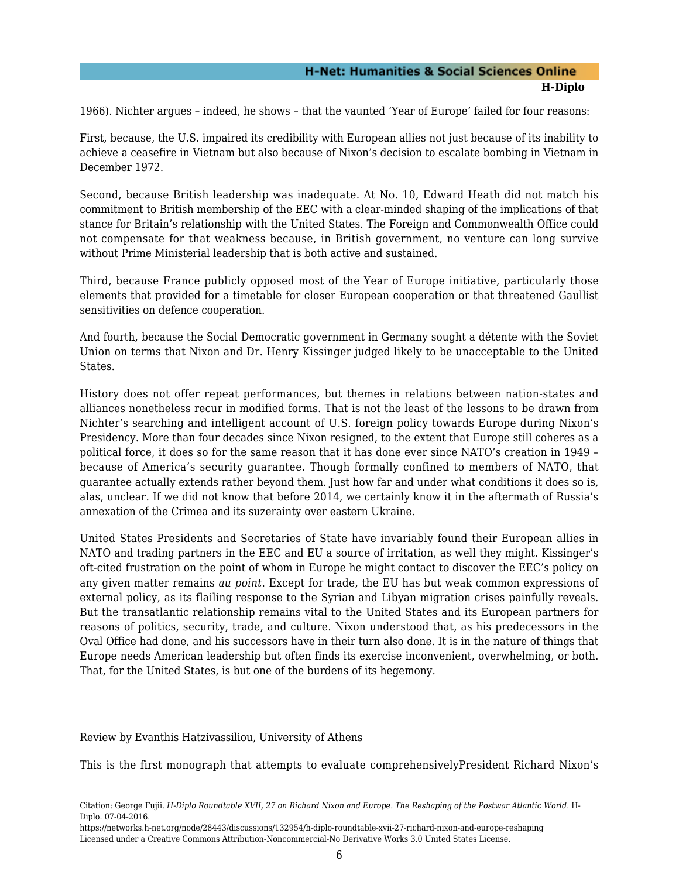1966). Nichter argues – indeed, he shows – that the vaunted 'Year of Europe' failed for four reasons:

First, because, the U.S. impaired its credibility with European allies not just because of its inability to achieve a ceasefire in Vietnam but also because of Nixon's decision to escalate bombing in Vietnam in December 1972.

Second, because British leadership was inadequate. At No. 10, Edward Heath did not match his commitment to British membership of the EEC with a clear-minded shaping of the implications of that stance for Britain's relationship with the United States. The Foreign and Commonwealth Office could not compensate for that weakness because, in British government, no venture can long survive without Prime Ministerial leadership that is both active and sustained.

Third, because France publicly opposed most of the Year of Europe initiative, particularly those elements that provided for a timetable for closer European cooperation or that threatened Gaullist sensitivities on defence cooperation.

And fourth, because the Social Democratic government in Germany sought a détente with the Soviet Union on terms that Nixon and Dr. Henry Kissinger judged likely to be unacceptable to the United States.

History does not offer repeat performances, but themes in relations between nation-states and alliances nonetheless recur in modified forms. That is not the least of the lessons to be drawn from Nichter's searching and intelligent account of U.S. foreign policy towards Europe during Nixon's Presidency. More than four decades since Nixon resigned, to the extent that Europe still coheres as a political force, it does so for the same reason that it has done ever since NATO's creation in 1949 – because of America's security guarantee. Though formally confined to members of NATO, that guarantee actually extends rather beyond them. Just how far and under what conditions it does so is, alas, unclear. If we did not know that before 2014, we certainly know it in the aftermath of Russia's annexation of the Crimea and its suzerainty over eastern Ukraine.

United States Presidents and Secretaries of State have invariably found their European allies in NATO and trading partners in the EEC and EU a source of irritation, as well they might. Kissinger's oft-cited frustration on the point of whom in Europe he might contact to discover the EEC's policy on any given matter remains *au point*. Except for trade, the EU has but weak common expressions of external policy, as its flailing response to the Syrian and Libyan migration crises painfully reveals. But the transatlantic relationship remains vital to the United States and its European partners for reasons of politics, security, trade, and culture. Nixon understood that, as his predecessors in the Oval Office had done, and his successors have in their turn also done. It is in the nature of things that Europe needs American leadership but often finds its exercise inconvenient, overwhelming, or both. That, for the United States, is but one of the burdens of its hegemony.

<span id="page-7-0"></span>Review by Evanthis Hatzivassiliou, University of Athens

This is the first monograph that attempts to evaluate comprehensivelyPresident Richard Nixon's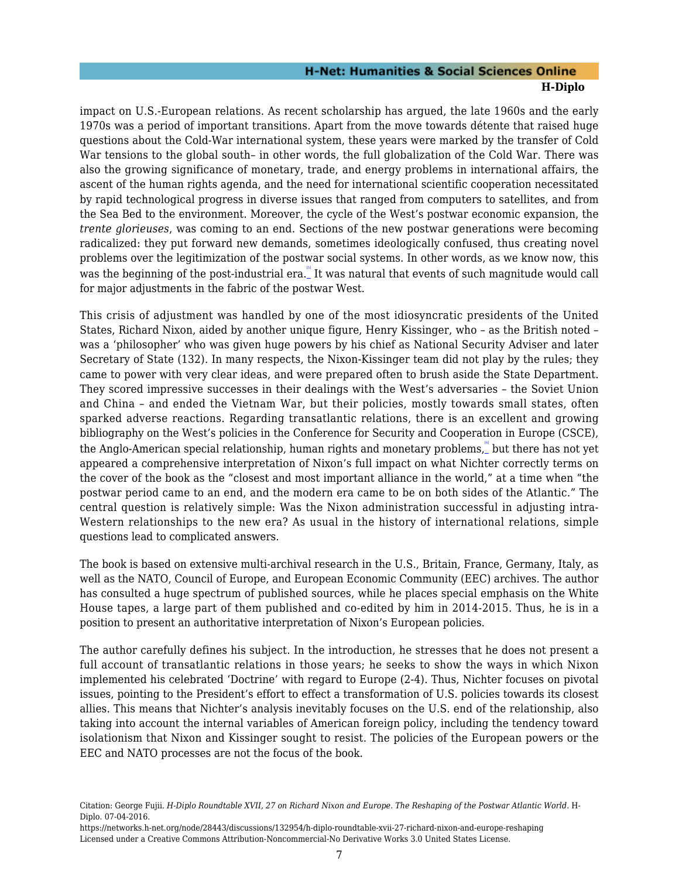impact on U.S.-European relations. As recent scholarship has argued, the late 1960s and the early 1970s was a period of important transitions. Apart from the move towards détente that raised huge questions about the Cold-War international system, these years were marked by the transfer of Cold War tensions to the global south– in other words, the full globalization of the Cold War. There was also the growing significance of monetary, trade, and energy problems in international affairs, the ascent of the human rights agenda, and the need for international scientific cooperation necessitated by rapid technological progress in diverse issues that ranged from computers to satellites, and from the Sea Bed to the environment. Moreover, the cycle of the West's postwar economic expansion, the *trente glorieuses*, was coming to an end. Sections of the new postwar generations were becoming radicalized: they put forward new demands, sometimes ideologically confused, thus creating novel problems over the legitimization of the postwar social systems. In other words, as we know now, this was the beginning of the post-industrial era. It was natural that events of such magnitude would call for major adjustments in the fabric of the postwar West.

<span id="page-8-0"></span>This crisis of adjustment was handled by one of the most idiosyncratic presidents of the United States, Richard Nixon, aided by another unique figure, Henry Kissinger, who – as the British noted – was a 'philosopher' who was given huge powers by his chief as National Security Adviser and later Secretary of State (132). In many respects, the Nixon-Kissinger team did not play by the rules; they came to power with very clear ideas, and were prepared often to brush aside the State Department. They scored impressive successes in their dealings with the West's adversaries – the Soviet Union and China – and ended the Vietnam War, but their policies, mostly towards small states, often sparked adverse reactions. Regarding transatlantic relations, there is an excellent and growing bibliography on the West's policies in the Conference for Security and Cooperation in Europe (CSCE), the Anglo-American special relationship, human rights and monetary problems, what there has not yet appeared a comprehensive interpretation of Nixon's full impact on what Nichter correctly terms on the cover of the book as the "closest and most important alliance in the world," at a time when "the postwar period came to an end, and the modern era came to be on both sides of the Atlantic." The central question is relatively simple: Was the Nixon administration successful in adjusting intra-Western relationships to the new era? As usual in the history of international relations, simple questions lead to complicated answers.

<span id="page-8-1"></span>The book is based on extensive multi-archival research in the U.S., Britain, France, Germany, Italy, as well as the NATO, Council of Europe, and European Economic Community (EEC) archives. The author has consulted a huge spectrum of published sources, while he places special emphasis on the White House tapes, a large part of them published and co-edited by him in 2014-2015. Thus, he is in a position to present an authoritative interpretation of Nixon's European policies.

The author carefully defines his subject. In the introduction, he stresses that he does not present a full account of transatlantic relations in those years; he seeks to show the ways in which Nixon implemented his celebrated 'Doctrine' with regard to Europe (2-4). Thus, Nichter focuses on pivotal issues, pointing to the President's effort to effect a transformation of U.S. policies towards its closest allies. This means that Nichter's analysis inevitably focuses on the U.S. end of the relationship, also taking into account the internal variables of American foreign policy, including the tendency toward isolationism that Nixon and Kissinger sought to resist. The policies of the European powers or the EEC and NATO processes are not the focus of the book.

Citation: George Fujii. *H-Diplo Roundtable XVII, 27 on Richard Nixon and Europe. The Reshaping of the Postwar Atlantic World*. H-Diplo. 07-04-2016.

https://networks.h-net.org/node/28443/discussions/132954/h-diplo-roundtable-xvii-27-richard-nixon-and-europe-reshaping Licensed under a Creative Commons Attribution-Noncommercial-No Derivative Works 3.0 United States License.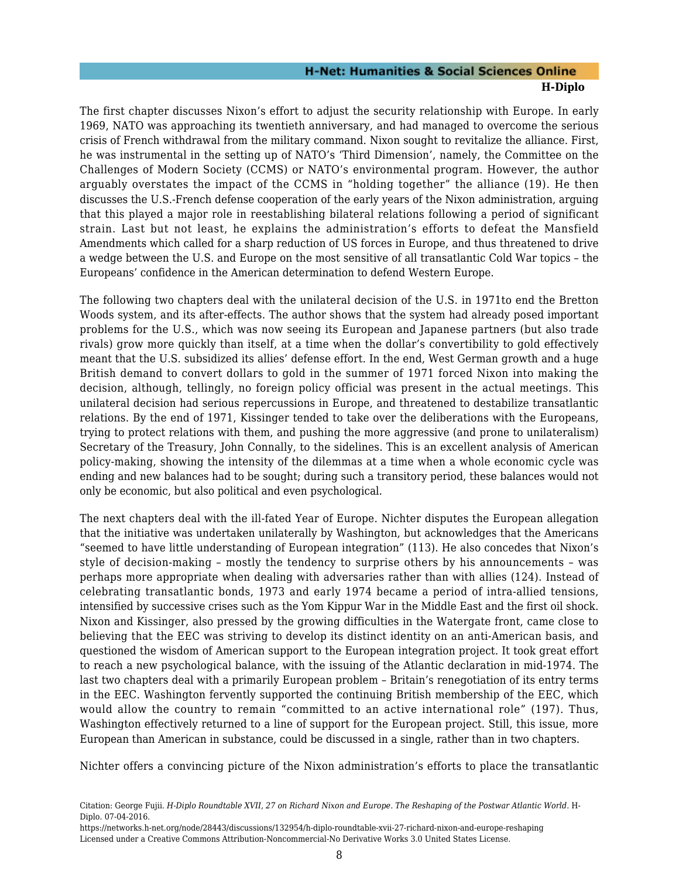The first chapter discusses Nixon's effort to adjust the security relationship with Europe. In early 1969, NATO was approaching its twentieth anniversary, and had managed to overcome the serious crisis of French withdrawal from the military command. Nixon sought to revitalize the alliance. First, he was instrumental in the setting up of NATO's 'Third Dimension', namely, the Committee on the Challenges of Modern Society (CCMS) or NATO's environmental program. However, the author arguably overstates the impact of the CCMS in "holding together" the alliance (19). He then discusses the U.S.-French defense cooperation of the early years of the Nixon administration, arguing that this played a major role in reestablishing bilateral relations following a period of significant strain. Last but not least, he explains the administration's efforts to defeat the Mansfield Amendments which called for a sharp reduction of US forces in Europe, and thus threatened to drive a wedge between the U.S. and Europe on the most sensitive of all transatlantic Cold War topics – the Europeans' confidence in the American determination to defend Western Europe.

The following two chapters deal with the unilateral decision of the U.S. in 1971to end the Bretton Woods system, and its after-effects. The author shows that the system had already posed important problems for the U.S., which was now seeing its European and Japanese partners (but also trade rivals) grow more quickly than itself, at a time when the dollar's convertibility to gold effectively meant that the U.S. subsidized its allies' defense effort. In the end, West German growth and a huge British demand to convert dollars to gold in the summer of 1971 forced Nixon into making the decision, although, tellingly, no foreign policy official was present in the actual meetings. This unilateral decision had serious repercussions in Europe, and threatened to destabilize transatlantic relations. By the end of 1971, Kissinger tended to take over the deliberations with the Europeans, trying to protect relations with them, and pushing the more aggressive (and prone to unilateralism) Secretary of the Treasury, John Connally, to the sidelines. This is an excellent analysis of American policy-making, showing the intensity of the dilemmas at a time when a whole economic cycle was ending and new balances had to be sought; during such a transitory period, these balances would not only be economic, but also political and even psychological.

The next chapters deal with the ill-fated Year of Europe. Nichter disputes the European allegation that the initiative was undertaken unilaterally by Washington, but acknowledges that the Americans "seemed to have little understanding of European integration" (113). He also concedes that Nixon's style of decision-making – mostly the tendency to surprise others by his announcements – was perhaps more appropriate when dealing with adversaries rather than with allies (124). Instead of celebrating transatlantic bonds, 1973 and early 1974 became a period of intra-allied tensions, intensified by successive crises such as the Yom Kippur War in the Middle East and the first oil shock. Nixon and Kissinger, also pressed by the growing difficulties in the Watergate front, came close to believing that the EEC was striving to develop its distinct identity on an anti-American basis, and questioned the wisdom of American support to the European integration project. It took great effort to reach a new psychological balance, with the issuing of the Atlantic declaration in mid-1974. The last two chapters deal with a primarily European problem – Britain's renegotiation of its entry terms in the EEC. Washington fervently supported the continuing British membership of the EEC, which would allow the country to remain "committed to an active international role" (197). Thus, Washington effectively returned to a line of support for the European project. Still, this issue, more European than American in substance, could be discussed in a single, rather than in two chapters.

Nichter offers a convincing picture of the Nixon administration's efforts to place the transatlantic

Citation: George Fujii. *H-Diplo Roundtable XVII, 27 on Richard Nixon and Europe. The Reshaping of the Postwar Atlantic World*. H-Diplo. 07-04-2016.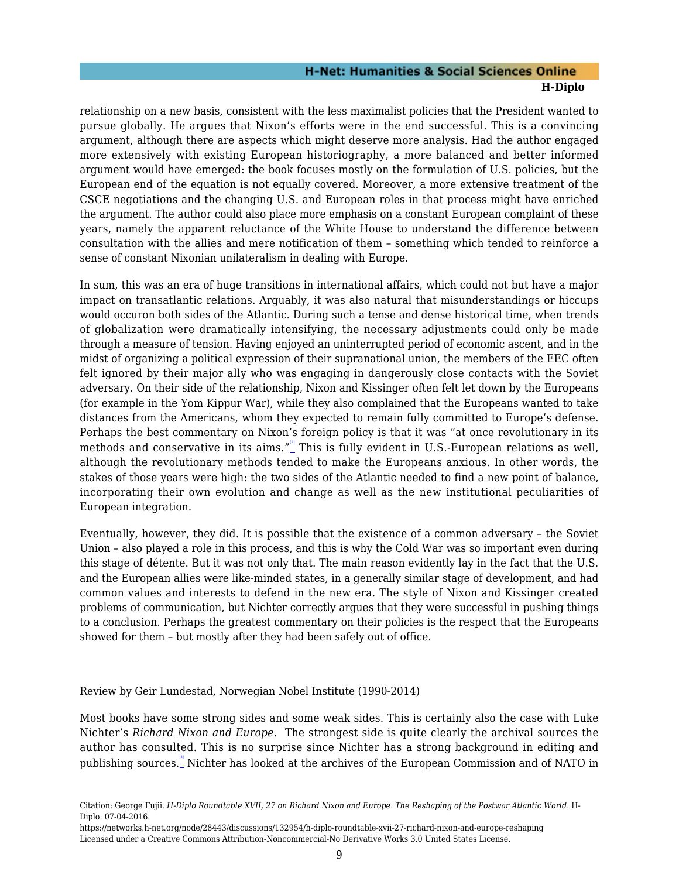relationship on a new basis, consistent with the less maximalist policies that the President wanted to pursue globally. He argues that Nixon's efforts were in the end successful. This is a convincing argument, although there are aspects which might deserve more analysis. Had the author engaged more extensively with existing European historiography, a more balanced and better informed argument would have emerged: the book focuses mostly on the formulation of U.S. policies, but the European end of the equation is not equally covered. Moreover, a more extensive treatment of the CSCE negotiations and the changing U.S. and European roles in that process might have enriched the argument. The author could also place more emphasis on a constant European complaint of these years, namely the apparent reluctance of the White House to understand the difference between consultation with the allies and mere notification of them – something which tended to reinforce a sense of constant Nixonian unilateralism in dealing with Europe.

In sum, this was an era of huge transitions in international affairs, which could not but have a major impact on transatlantic relations. Arguably, it was also natural that misunderstandings or hiccups would occuron both sides of the Atlantic. During such a tense and dense historical time, when trends of globalization were dramatically intensifying, the necessary adjustments could only be made through a measure of tension. Having enjoyed an uninterrupted period of economic ascent, and in the midst of organizing a political expression of their supranational union, the members of the EEC often felt ignored by their major ally who was engaging in dangerously close contacts with the Soviet adversary. On their side of the relationship, Nixon and Kissinger often felt let down by the Europeans (for example in the Yom Kippur War), while they also complained that the Europeans wanted to take distances from the Americans, whom they expected to remain fully committed to Europe's defense. Perhaps the best commentary on Nixon's foreign policy is that it was "at once revolutionary in its methods and conservative in its aims."\_This is fully evident in U.S.-European relations as well, although the revolutionary methods tended to make the Europeans anxious. In other words, the stakes of those years were high: the two sides of the Atlantic needed to find a new point of balance, incorporating their own evolution and change as well as the new institutional peculiarities of European integration.

<span id="page-10-1"></span>Eventually, however, they did. It is possible that the existence of a common adversary – the Soviet Union – also played a role in this process, and this is why the Cold War was so important even during this stage of détente. But it was not only that. The main reason evidently lay in the fact that the U.S. and the European allies were like-minded states, in a generally similar stage of development, and had common values and interests to defend in the new era. The style of Nixon and Kissinger created problems of communication, but Nichter correctly argues that they were successful in pushing things to a conclusion. Perhaps the greatest commentary on their policies is the respect that the Europeans showed for them – but mostly after they had been safely out of office.

<span id="page-10-0"></span>Review by Geir Lundestad, Norwegian Nobel Institute (1990-2014)

<span id="page-10-2"></span>Most books have some strong sides and some weak sides. This is certainly also the case with Luke Nichter's *Richard Nixon and Europe*. The strongest side is quite clearly the archival sources the author has consulted. This is no surprise since Nichter has a strong background in editing and publishing sources. "Nichter has looked at the archives of the European Commission and of NATO in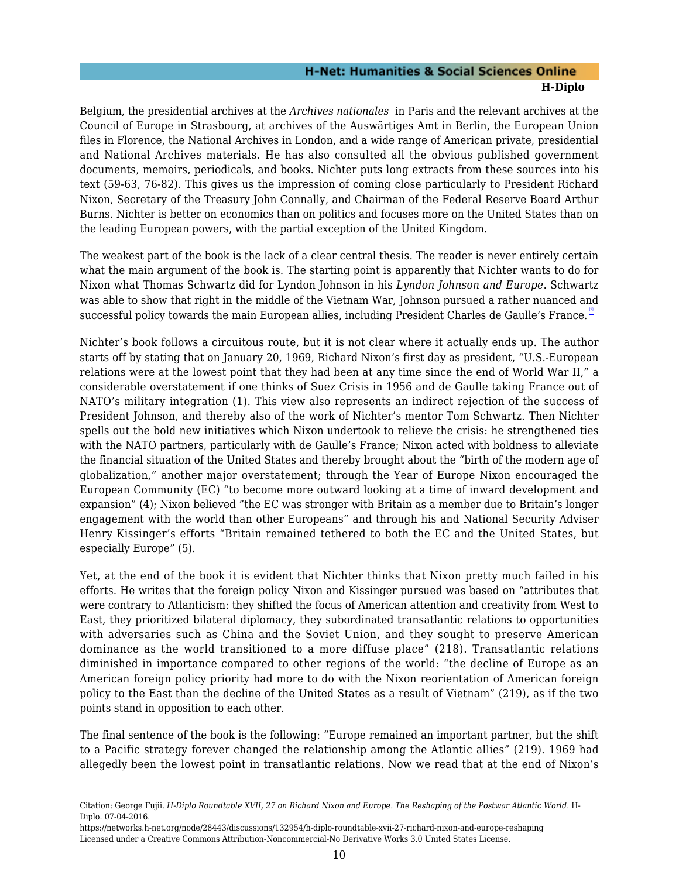Belgium, the presidential archives at the *Archives nationales* in Paris and the relevant archives at the Council of Europe in Strasbourg, at archives of the Auswärtiges Amt in Berlin, the European Union files in Florence, the National Archives in London, and a wide range of American private, presidential and National Archives materials. He has also consulted all the obvious published government documents, memoirs, periodicals, and books. Nichter puts long extracts from these sources into his text (59-63, 76-82). This gives us the impression of coming close particularly to President Richard Nixon, Secretary of the Treasury John Connally, and Chairman of the Federal Reserve Board Arthur Burns. Nichter is better on economics than on politics and focuses more on the United States than on the leading European powers, with the partial exception of the United Kingdom.

The weakest part of the book is the lack of a clear central thesis. The reader is never entirely certain what the main argument of the book is. The starting point is apparently that Nichter wants to do for Nixon what Thomas Schwartz did for Lyndon Johnson in his *Lyndon Johnson and Europe*. Schwartz was able to show that right in the middle of the Vietnam War, Johnson pursued a rather nuanced and successful policy towards the main European allies, including President Charles de Gaulle's France. <del>"</del>

<span id="page-11-0"></span>Nichter's book follows a circuitous route, but it is not clear where it actually ends up. The author starts off by stating that on January 20, 1969, Richard Nixon's first day as president, "U.S.-European relations were at the lowest point that they had been at any time since the end of World War II," a considerable overstatement if one thinks of Suez Crisis in 1956 and de Gaulle taking France out of NATO's military integration (1). This view also represents an indirect rejection of the success of President Johnson, and thereby also of the work of Nichter's mentor Tom Schwartz. Then Nichter spells out the bold new initiatives which Nixon undertook to relieve the crisis: he strengthened ties with the NATO partners, particularly with de Gaulle's France; Nixon acted with boldness to alleviate the financial situation of the United States and thereby brought about the "birth of the modern age of globalization," another major overstatement; through the Year of Europe Nixon encouraged the European Community (EC) "to become more outward looking at a time of inward development and expansion" (4); Nixon believed "the EC was stronger with Britain as a member due to Britain's longer engagement with the world than other Europeans" and through his and National Security Adviser Henry Kissinger's efforts "Britain remained tethered to both the EC and the United States, but especially Europe" (5).

Yet, at the end of the book it is evident that Nichter thinks that Nixon pretty much failed in his efforts. He writes that the foreign policy Nixon and Kissinger pursued was based on "attributes that were contrary to Atlanticism: they shifted the focus of American attention and creativity from West to East, they prioritized bilateral diplomacy, they subordinated transatlantic relations to opportunities with adversaries such as China and the Soviet Union, and they sought to preserve American dominance as the world transitioned to a more diffuse place" (218). Transatlantic relations diminished in importance compared to other regions of the world: "the decline of Europe as an American foreign policy priority had more to do with the Nixon reorientation of American foreign policy to the East than the decline of the United States as a result of Vietnam" (219), as if the two points stand in opposition to each other.

The final sentence of the book is the following: "Europe remained an important partner, but the shift to a Pacific strategy forever changed the relationship among the Atlantic allies" (219). 1969 had allegedly been the lowest point in transatlantic relations. Now we read that at the end of Nixon's

Citation: George Fujii. *H-Diplo Roundtable XVII, 27 on Richard Nixon and Europe. The Reshaping of the Postwar Atlantic World*. H-Diplo. 07-04-2016.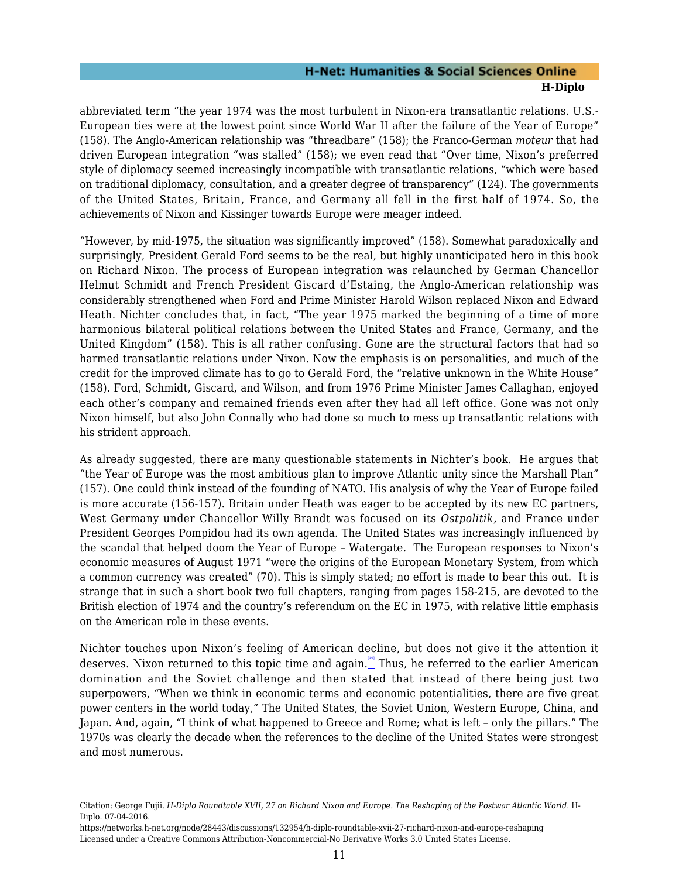abbreviated term "the year 1974 was the most turbulent in Nixon-era transatlantic relations. U.S.- European ties were at the lowest point since World War II after the failure of the Year of Europe" (158). The Anglo-American relationship was "threadbare" (158); the Franco-German *moteur* that had driven European integration "was stalled" (158); we even read that "Over time, Nixon's preferred style of diplomacy seemed increasingly incompatible with transatlantic relations, "which were based on traditional diplomacy, consultation, and a greater degree of transparency" (124). The governments of the United States, Britain, France, and Germany all fell in the first half of 1974. So, the achievements of Nixon and Kissinger towards Europe were meager indeed.

"However, by mid-1975, the situation was significantly improved" (158). Somewhat paradoxically and surprisingly, President Gerald Ford seems to be the real, but highly unanticipated hero in this book on Richard Nixon. The process of European integration was relaunched by German Chancellor Helmut Schmidt and French President Giscard d'Estaing, the Anglo-American relationship was considerably strengthened when Ford and Prime Minister Harold Wilson replaced Nixon and Edward Heath. Nichter concludes that, in fact, "The year 1975 marked the beginning of a time of more harmonious bilateral political relations between the United States and France, Germany, and the United Kingdom" (158). This is all rather confusing. Gone are the structural factors that had so harmed transatlantic relations under Nixon. Now the emphasis is on personalities, and much of the credit for the improved climate has to go to Gerald Ford, the "relative unknown in the White House" (158). Ford, Schmidt, Giscard, and Wilson, and from 1976 Prime Minister James Callaghan, enjoyed each other's company and remained friends even after they had all left office. Gone was not only Nixon himself, but also John Connally who had done so much to mess up transatlantic relations with his strident approach.

As already suggested, there are many questionable statements in Nichter's book. He argues that "the Year of Europe was the most ambitious plan to improve Atlantic unity since the Marshall Plan" (157). One could think instead of the founding of NATO. His analysis of why the Year of Europe failed is more accurate (156-157). Britain under Heath was eager to be accepted by its new EC partners, West Germany under Chancellor Willy Brandt was focused on its *Ostpolitik,* and France under President Georges Pompidou had its own agenda. The United States was increasingly influenced by the scandal that helped doom the Year of Europe – Watergate. The European responses to Nixon's economic measures of August 1971 "were the origins of the European Monetary System, from which a common currency was created" (70). This is simply stated; no effort is made to bear this out. It is strange that in such a short book two full chapters, ranging from pages 158-215, are devoted to the British election of 1974 and the country's referendum on the EC in 1975, with relative little emphasis on the American role in these events.

<span id="page-12-0"></span>Nichter touches upon Nixon's feeling of American decline, but does not give it the attention it deserves. Nixon returned to this topic time and again. Inus, he referred to the earlier American domination and the Soviet challenge and then stated that instead of there being just two superpowers, "When we think in economic terms and economic potentialities, there are five great power centers in the world today," The United States, the Soviet Union, Western Europe, China, and Japan. And, again, "I think of what happened to Greece and Rome; what is left – only the pillars." The 1970s was clearly the decade when the references to the decline of the United States were strongest and most numerous.

Citation: George Fujii. *H-Diplo Roundtable XVII, 27 on Richard Nixon and Europe. The Reshaping of the Postwar Atlantic World*. H-Diplo. 07-04-2016.

https://networks.h-net.org/node/28443/discussions/132954/h-diplo-roundtable-xvii-27-richard-nixon-and-europe-reshaping Licensed under a Creative Commons Attribution-Noncommercial-No Derivative Works 3.0 United States License.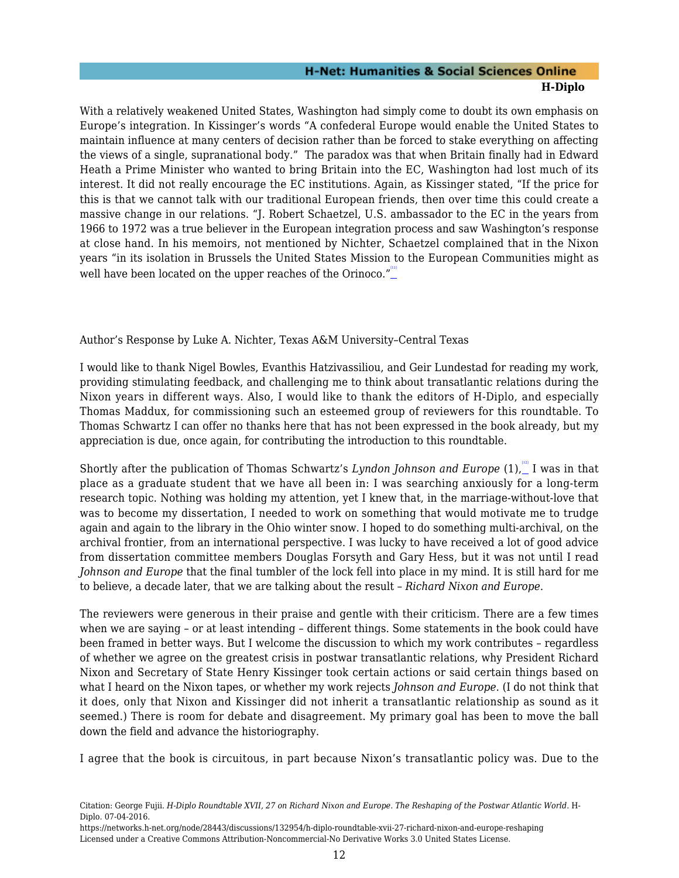With a relatively weakened United States, Washington had simply come to doubt its own emphasis on Europe's integration. In Kissinger's words "A confederal Europe would enable the United States to maintain influence at many centers of decision rather than be forced to stake everything on affecting the views of a single, supranational body." The paradox was that when Britain finally had in Edward Heath a Prime Minister who wanted to bring Britain into the EC, Washington had lost much of its interest. It did not really encourage the EC institutions. Again, as Kissinger stated, "If the price for this is that we cannot talk with our traditional European friends, then over time this could create a massive change in our relations. "J. Robert Schaetzel, U.S. ambassador to the EC in the years from 1966 to 1972 was a true believer in the European integration process and saw Washington's response at close hand. In his memoirs, not mentioned by Nichter, Schaetzel complained that in the Nixon years "in its isolation in Brussels the United States Mission to the European Communities might as well have been located on the upper reaches of the Orinoco."<sup>"</sup>

#### <span id="page-13-1"></span><span id="page-13-0"></span>Author's Response by Luke A. Nichter, Texas A&M University–Central Texas

I would like to thank Nigel Bowles, Evanthis Hatzivassiliou, and Geir Lundestad for reading my work, providing stimulating feedback, and challenging me to think about transatlantic relations during the Nixon years in different ways. Also, I would like to thank the editors of H-Diplo, and especially Thomas Maddux, for commissioning such an esteemed group of reviewers for this roundtable. To Thomas Schwartz I can offer no thanks here that has not been expressed in the book already, but my appreciation is due, once again, for contributing the introduction to this roundtable.

<span id="page-13-2"></span>Shortly after the publication of Thomas Schwartz's Lyndon Johnson and Europe (1), I was in that place as a graduate student that we have all been in: I was searching anxiously for a long-term research topic. Nothing was holding my attention, yet I knew that, in the marriage-without-love that was to become my dissertation, I needed to work on something that would motivate me to trudge again and again to the library in the Ohio winter snow. I hoped to do something multi-archival, on the archival frontier, from an international perspective. I was lucky to have received a lot of good advice from dissertation committee members Douglas Forsyth and Gary Hess, but it was not until I read *Johnson and Europe* that the final tumbler of the lock fell into place in my mind. It is still hard for me to believe, a decade later, that we are talking about the result – *Richard Nixon and Europe*.

The reviewers were generous in their praise and gentle with their criticism. There are a few times when we are saying – or at least intending – different things. Some statements in the book could have been framed in better ways. But I welcome the discussion to which my work contributes – regardless of whether we agree on the greatest crisis in postwar transatlantic relations, why President Richard Nixon and Secretary of State Henry Kissinger took certain actions or said certain things based on what I heard on the Nixon tapes, or whether my work rejects *Johnson and Europe*. (I do not think that it does, only that Nixon and Kissinger did not inherit a transatlantic relationship as sound as it seemed.) There is room for debate and disagreement. My primary goal has been to move the ball down the field and advance the historiography.

I agree that the book is circuitous, in part because Nixon's transatlantic policy was. Due to the

Citation: George Fujii. *H-Diplo Roundtable XVII, 27 on Richard Nixon and Europe. The Reshaping of the Postwar Atlantic World*. H-Diplo. 07-04-2016.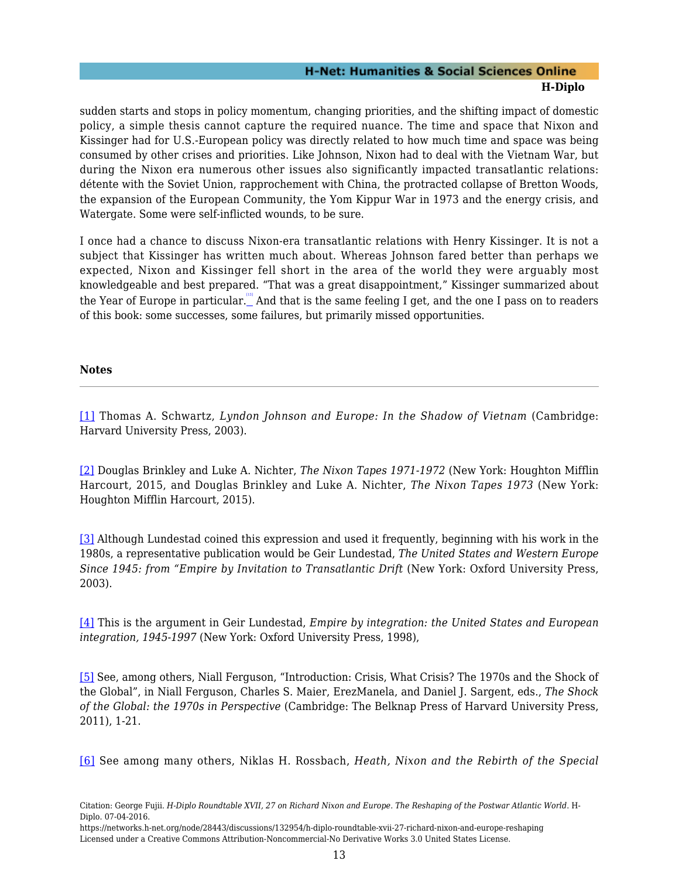sudden starts and stops in policy momentum, changing priorities, and the shifting impact of domestic policy, a simple thesis cannot capture the required nuance. The time and space that Nixon and Kissinger had for U.S.-European policy was directly related to how much time and space was being consumed by other crises and priorities. Like Johnson, Nixon had to deal with the Vietnam War, but during the Nixon era numerous other issues also significantly impacted transatlantic relations: détente with the Soviet Union, rapprochement with China, the protracted collapse of Bretton Woods, the expansion of the European Community, the Yom Kippur War in 1973 and the energy crisis, and Watergate. Some were self-inflicted wounds, to be sure.

<span id="page-14-6"></span>I once had a chance to discuss Nixon-era transatlantic relations with Henry Kissinger. It is not a subject that Kissinger has written much about. Whereas Johnson fared better than perhaps we expected, Nixon and Kissinger fell short in the area of the world they were arguably most knowledgeable and best prepared. "That was a great disappointment," Kissinger summarized about the Year of Europe in particular. "And that is the same feeling I get, and the one I pass on to readers of this book: some successes, some failures, but primarily missed opportunities.

#### **Notes**

<span id="page-14-0"></span>[\[1\]](#page-2-1) Thomas A. Schwartz, *Lyndon Johnson and Europe: In the Shadow of Vietnam* (Cambridge: Harvard University Press, 2003).

<span id="page-14-1"></span>[\[2\]](#page-3-0) Douglas Brinkley and Luke A. Nichter, *The Nixon Tapes 1971-1972* (New York: Houghton Mifflin Harcourt, 2015, and Douglas Brinkley and Luke A. Nichter, *The Nixon Tapes 1973* (New York: Houghton Mifflin Harcourt, 2015).

<span id="page-14-2"></span>[\[3\]](#page-3-1) Although Lundestad coined this expression and used it frequently, beginning with his work in the 1980s, a representative publication would be Geir Lundestad, *The United States and Western Europe Since 1945: from "Empire by Invitation to Transatlantic Drift (New York: Oxford University Press,* 2003).

<span id="page-14-3"></span>[\[4\]](#page-3-2) This is the argument in Geir Lundestad, *Empire by integration: the United States and European integration, 1945-1997* (New York: Oxford University Press, 1998),

<span id="page-14-4"></span>[\[5\]](#page-8-0) See, among others, Niall Ferguson, "Introduction: Crisis, What Crisis? The 1970s and the Shock of the Global", in Niall Ferguson, Charles S. Maier, ErezManela, and Daniel J. Sargent, eds., *The Shock of the Global: the 1970s in Perspective* (Cambridge: The Belknap Press of Harvard University Press, 2011), 1-21.

<span id="page-14-5"></span>[\[6\]](#page-8-1) See among many others, Niklas H. Rossbach, *Heath, Nixon and the Rebirth of the Special*

Citation: George Fujii. *H-Diplo Roundtable XVII, 27 on Richard Nixon and Europe. The Reshaping of the Postwar Atlantic World*. H-Diplo. 07-04-2016.